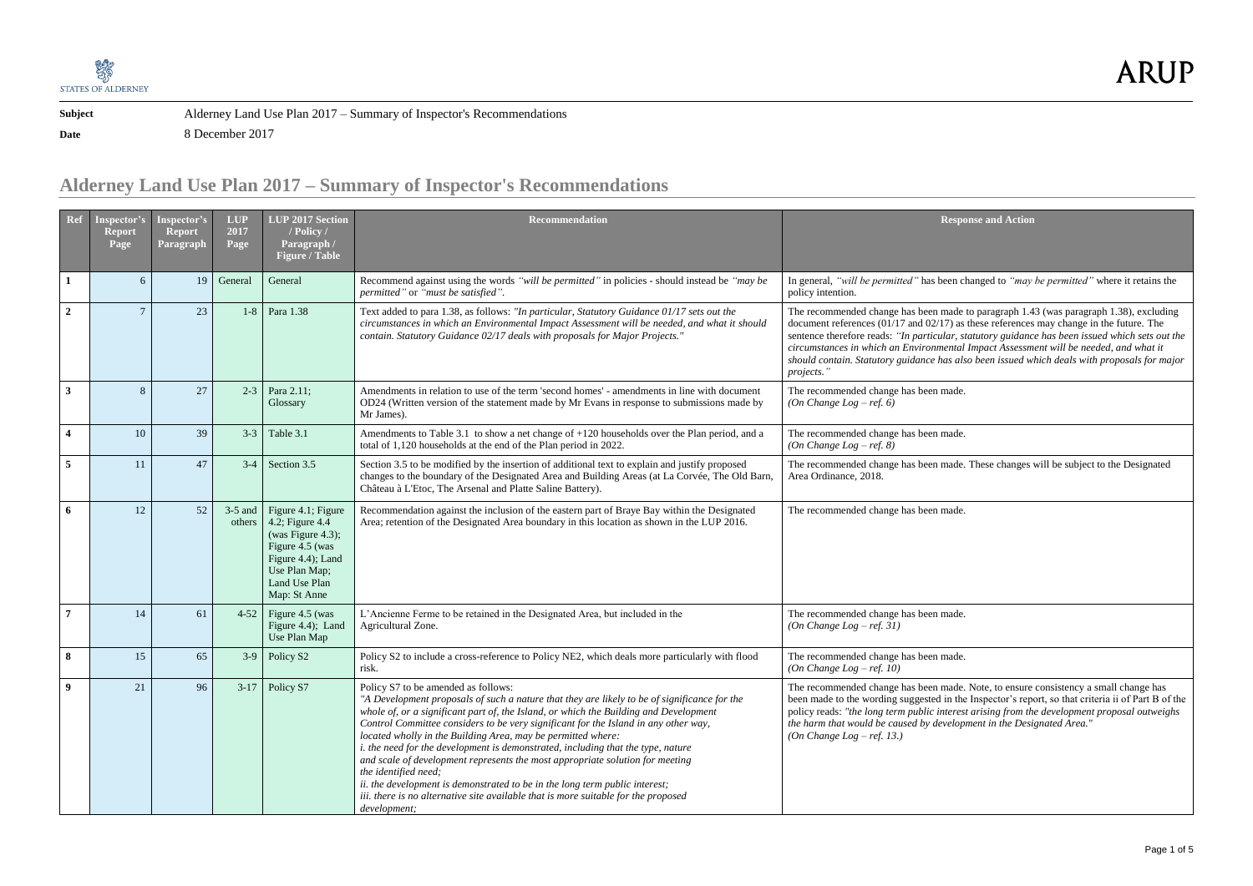

**Date** 8 December 2017

## **Alderney Land Use Plan 2017 – Summary of Inspector's Recommendations**

made to paragraph 1.43 (was paragraph 1.38), excluding  $(17)$  as these references may change in the future. The ilar, statutory guidance has been issued which sets out the *circumstances in which an Environmental Impact Assessment will be needed, and what it should contain. Statutory guidance has also been issued which deals with proposals for major* 

made.

made.

made. These changes will be subject to the Designated

made.

made.

made.

made. Note, to ensure consistency a small change has in the Inspector's report, so that criteria ii of Part B of the policy reads: *"the long term public interest arising from the development proposal outweighs the harm that would be caused by development in the Designated Area."*

| Ref                     | <b>Inspector's</b><br><b>Report</b><br>Page | Inspector's<br><b>Report</b><br>Paragraph | <b>LUP</b><br>2017<br>Page | LUP $2017$ Section<br>/ Policy /<br>Paragraph /<br><b>Figure / Table</b>                                                                             | <b>Recommendation</b>                                                                                                                                                                                                                                                                                                                                                                                                                                                                                                                                                                                                                                                                                                                                                 |                                                                                                                                                                                                                 |
|-------------------------|---------------------------------------------|-------------------------------------------|----------------------------|------------------------------------------------------------------------------------------------------------------------------------------------------|-----------------------------------------------------------------------------------------------------------------------------------------------------------------------------------------------------------------------------------------------------------------------------------------------------------------------------------------------------------------------------------------------------------------------------------------------------------------------------------------------------------------------------------------------------------------------------------------------------------------------------------------------------------------------------------------------------------------------------------------------------------------------|-----------------------------------------------------------------------------------------------------------------------------------------------------------------------------------------------------------------|
| $\mathbf{1}$            | 6                                           | 19                                        | General                    | General                                                                                                                                              | Recommend against using the words "will be permitted" in policies - should instead be "may be<br>permitted" or "must be satisfied".                                                                                                                                                                                                                                                                                                                                                                                                                                                                                                                                                                                                                                   | In general, "will be permitted" has be<br>policy intention.                                                                                                                                                     |
| $\boldsymbol{2}$        | 7                                           | 23                                        | $1-8$                      | Para 1.38                                                                                                                                            | Text added to para 1.38, as follows: "In particular, Statutory Guidance 01/17 sets out the<br>circumstances in which an Environmental Impact Assessment will be needed, and what it should<br>contain. Statutory Guidance 02/17 deals with proposals for Major Projects."                                                                                                                                                                                                                                                                                                                                                                                                                                                                                             | The recommended change has been r<br>document references (01/17 and 02/1<br>sentence therefore reads: "In particul<br>circumstances in which an Environm<br>should contain. Statutory guidance ha<br>projects." |
| $\mathbf{3}$            | 8                                           | 27                                        | $2 - 3$                    | Para 2.11;<br>Glossary                                                                                                                               | Amendments in relation to use of the term 'second homes' - amendments in line with document<br>OD24 (Written version of the statement made by Mr Evans in response to submissions made by<br>Mr James).                                                                                                                                                                                                                                                                                                                                                                                                                                                                                                                                                               | The recommended change has been r<br>(On Change Log – ref. 6)                                                                                                                                                   |
| $\overline{\mathbf{4}}$ | 10                                          | 39                                        | $3 - 3$                    | Table 3.1                                                                                                                                            | Amendments to Table 3.1 to show a net change of +120 households over the Plan period, and a<br>total of 1,120 households at the end of the Plan period in 2022.                                                                                                                                                                                                                                                                                                                                                                                                                                                                                                                                                                                                       | The recommended change has been r<br>(On Change Log – ref. 8)                                                                                                                                                   |
| 5                       | 11                                          | 47                                        | $3 - 4$                    | Section 3.5                                                                                                                                          | Section 3.5 to be modified by the insertion of additional text to explain and justify proposed<br>changes to the boundary of the Designated Area and Building Areas (at La Corvée, The Old Barn,<br>Château à L'Etoc, The Arsenal and Platte Saline Battery).                                                                                                                                                                                                                                                                                                                                                                                                                                                                                                         | The recommended change has been r<br>Area Ordinance, 2018.                                                                                                                                                      |
| 6                       | 12                                          | 52                                        | $3-5$ and<br>others        | Figure 4.1; Figure<br>4.2; Figure 4.4<br>(was Figure 4.3);<br>Figure 4.5 (was<br>Figure 4.4); Land<br>Use Plan Map;<br>Land Use Plan<br>Map: St Anne | Recommendation against the inclusion of the eastern part of Braye Bay within the Designated<br>Area; retention of the Designated Area boundary in this location as shown in the LUP 2016.                                                                                                                                                                                                                                                                                                                                                                                                                                                                                                                                                                             | The recommended change has been r                                                                                                                                                                               |
| 7                       | 14                                          | 61                                        | $4 - 52$                   | Figure 4.5 (was<br>Figure 4.4); Land<br>Use Plan Map                                                                                                 | L'Ancienne Ferme to be retained in the Designated Area, but included in the<br>Agricultural Zone.                                                                                                                                                                                                                                                                                                                                                                                                                                                                                                                                                                                                                                                                     | The recommended change has been r<br>(On Change Log – ref. 31)                                                                                                                                                  |
| 8                       | 15                                          | 65                                        | $3-9$                      | Policy S <sub>2</sub>                                                                                                                                | Policy S2 to include a cross-reference to Policy NE2, which deals more particularly with flood<br>risk.                                                                                                                                                                                                                                                                                                                                                                                                                                                                                                                                                                                                                                                               | The recommended change has been r<br>(On Change Log – ref. 10)                                                                                                                                                  |
| 9                       | 21                                          | 96                                        | $3-17$                     | Policy S7                                                                                                                                            | Policy S7 to be amended as follows:<br>"A Development proposals of such a nature that they are likely to be of significance for the<br>whole of, or a significant part of, the Island, or which the Building and Development<br>Control Committee considers to be very significant for the Island in any other way,<br>located wholly in the Building Area, may be permitted where:<br>i. the need for the development is demonstrated, including that the type, nature<br>and scale of development represents the most appropriate solution for meeting<br>the identified need;<br>ii. the development is demonstrated to be in the long term public interest;<br>iii. there is no alternative site available that is more suitable for the proposed<br>development; | The recommended change has been r<br>been made to the wording suggested<br>policy reads: "the long term public in<br>the harm that would be caused by det<br>(On Change Log – ref. 13.)                         |

# **ARUP**

**Response and Action** 

leen changed to *"may be permitted"* where it retains the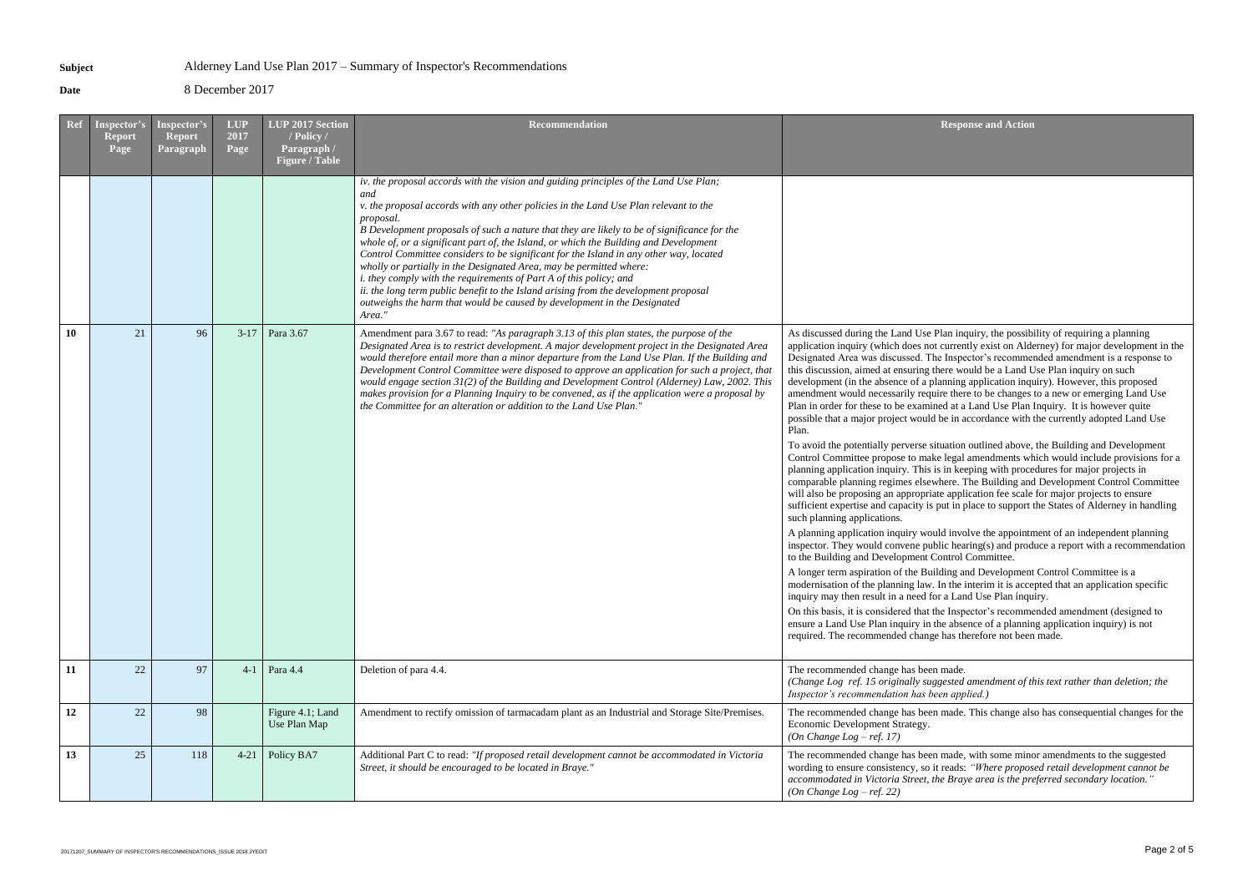**Date** 8 December 2017

made, with some minor amendments to the suggested reads: *"Where proposed retail development cannot be accommodated in Victoria Street, the Braye area is the preferred secondary location."*

| Ref | Inspector's<br><b>Report</b><br>Page | Inspector's<br><b>Report</b><br>Paragraph | <b>LUP</b><br>2017<br>Page | LUP 2017 Section<br>/ Policy /<br>Paragraph /<br><b>Figure / Table</b> | <b>Recommendation</b>                                                                                                                                                                                                                                                                                                                                                                                                                                                                                                                                                                                                                                                                                                                                                                                                 | <b>Respo</b>                                                                                                                                                                                                                                                                                                                                                                                                                                                                                                                                                                                                                                                                                                                                                                                                                                                                                                                                                                                                                                                                                                                  |
|-----|--------------------------------------|-------------------------------------------|----------------------------|------------------------------------------------------------------------|-----------------------------------------------------------------------------------------------------------------------------------------------------------------------------------------------------------------------------------------------------------------------------------------------------------------------------------------------------------------------------------------------------------------------------------------------------------------------------------------------------------------------------------------------------------------------------------------------------------------------------------------------------------------------------------------------------------------------------------------------------------------------------------------------------------------------|-------------------------------------------------------------------------------------------------------------------------------------------------------------------------------------------------------------------------------------------------------------------------------------------------------------------------------------------------------------------------------------------------------------------------------------------------------------------------------------------------------------------------------------------------------------------------------------------------------------------------------------------------------------------------------------------------------------------------------------------------------------------------------------------------------------------------------------------------------------------------------------------------------------------------------------------------------------------------------------------------------------------------------------------------------------------------------------------------------------------------------|
|     |                                      |                                           |                            |                                                                        | iv. the proposal accords with the vision and guiding principles of the Land Use Plan;<br>and<br>v. the proposal accords with any other policies in the Land Use Plan relevant to the<br>proposal.<br>B Development proposals of such a nature that they are likely to be of significance for the<br>whole of, or a significant part of, the Island, or which the Building and Development<br>Control Committee considers to be significant for the Island in any other way, located<br>wholly or partially in the Designated Area, may be permitted where:<br><i>i. they comply with the requirements of Part A of this policy; and</i><br>ii. the long term public benefit to the Island arising from the development proposal<br>outweighs the harm that would be caused by development in the Designated<br>Area." |                                                                                                                                                                                                                                                                                                                                                                                                                                                                                                                                                                                                                                                                                                                                                                                                                                                                                                                                                                                                                                                                                                                               |
| 10  | 21                                   | 96                                        | $3-17$                     | Para 3.67                                                              | Amendment para 3.67 to read: "As paragraph 3.13 of this plan states, the purpose of the<br>Designated Area is to restrict development. A major development project in the Designated Area<br>would therefore entail more than a minor departure from the Land Use Plan. If the Building and<br>Development Control Committee were disposed to approve an application for such a project, that<br>would engage section 31(2) of the Building and Development Control (Alderney) Law, 2002. This<br>makes provision for a Planning Inquiry to be convened, as if the application were a proposal by<br>the Committee for an alteration or addition to the Land Use Plan."                                                                                                                                               | As discussed during the Land Use Plan in<br>application inquiry (which does not curren<br>Designated Area was discussed. The Inspe<br>this discussion, aimed at ensuring there we<br>development (in the absence of a planning<br>amendment would necessarily require then<br>Plan in order for these to be examined at a<br>possible that a major project would be in a<br>Plan.<br>To avoid the potentially perverse situation<br>Control Committee propose to make legal<br>planning application inquiry. This is in kee<br>comparable planning regimes elsewhere. 7<br>will also be proposing an appropriate appl<br>sufficient expertise and capacity is put in p<br>such planning applications.<br>A planning application inquiry would invo<br>inspector. They would convene public hea<br>to the Building and Development Control<br>A longer term aspiration of the Building a<br>modernisation of the planning law. In the<br>inquiry may then result in a need for a Lar<br>On this basis, it is considered that the Insp<br>ensure a Land Use Plan inquiry in the abse<br>required. The recommended change has th |
| 11  | 22                                   | 97                                        | $4-1$                      | Para 4.4                                                               | Deletion of para 4.4.                                                                                                                                                                                                                                                                                                                                                                                                                                                                                                                                                                                                                                                                                                                                                                                                 | The recommended change has been made.<br>(Change Log ref. 15 originally suggested<br>Inspector's recommendation has been app                                                                                                                                                                                                                                                                                                                                                                                                                                                                                                                                                                                                                                                                                                                                                                                                                                                                                                                                                                                                  |
| 12  | 22                                   | 98                                        |                            | Figure 4.1; Land<br>Use Plan Map                                       | Amendment to rectify omission of tarmacadam plant as an Industrial and Storage Site/Premises.                                                                                                                                                                                                                                                                                                                                                                                                                                                                                                                                                                                                                                                                                                                         | The recommended change has been made.<br>Economic Development Strategy.<br>(On Change Log – ref. 17)                                                                                                                                                                                                                                                                                                                                                                                                                                                                                                                                                                                                                                                                                                                                                                                                                                                                                                                                                                                                                          |
| 13  | 25                                   | 118                                       | $4 - 21$                   | Policy BA7                                                             | Additional Part C to read: "If proposed retail development cannot be accommodated in Victoria<br>Street, it should be encouraged to be located in Braye."                                                                                                                                                                                                                                                                                                                                                                                                                                                                                                                                                                                                                                                             | The recommended change has been made,<br>wording to ensure consistency, so it reads:<br>accommodated in Victoria Street, the Bray<br>(On Change Log – ref. 22)                                                                                                                                                                                                                                                                                                                                                                                                                                                                                                                                                                                                                                                                                                                                                                                                                                                                                                                                                                |

lan inquiry, the possibility of requiring a planning currently exist on Alderney) for major development in the Inspector's recommended amendment is a response to ere would be a Land Use Plan inquiry on such anning application inquiry). However, this proposed re there to be changes to a new or emerging Land Use ed at a Land Use Plan Inquiry. It is however quite pe in accordance with the currently adopted Land Use

uation outlined above, the Building and Development legal amendments which would include provisions for a in keeping with procedures for major projects in ere. The Building and Development Control Committee e application fee scale for major projects to ensure ut in place to support the States of Alderney in handling

Id involve the appointment of an independent planning ic hearing(s) and produce a report with a recommendation ontrol Committee.

ling and Development Control Committee is a In the interim it is accepted that an application specific a Land Use Plan inquiry.

e Inspector's recommended amendment (designed to he absence of a planning application inquiry) is not has therefore not been made.

*(Change Log ref. 15 originally suggested amendment of this text rather than deletion; the Inspector's recommendation has been applied.)*

made. This change also has consequential changes for the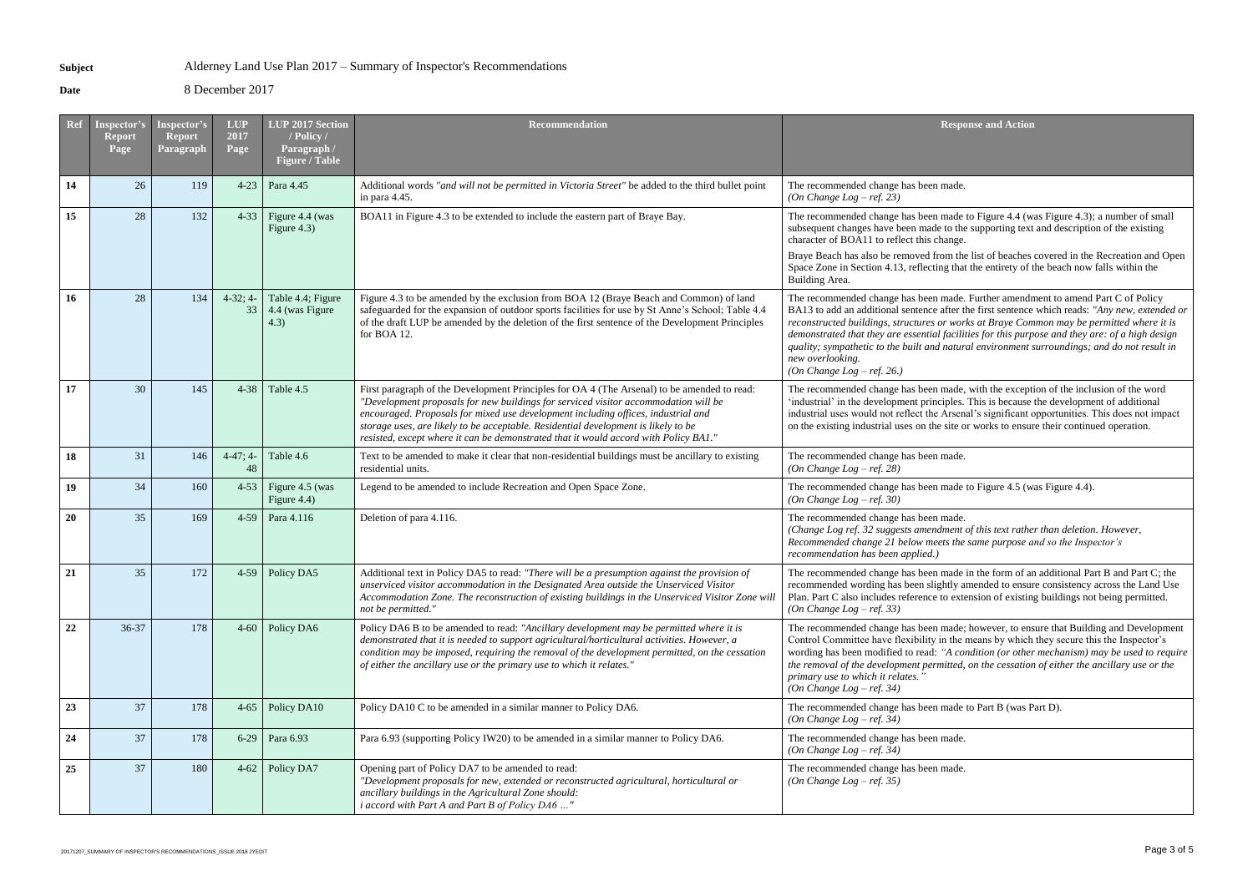**Date** 8 December 2017

*(Fhangeright ment of this text rather than deletion. However, Recommended change 21 below meets the same purpose and so the Inspector's* 

made in the form of an additional Part B and Part C; the htly amended to ensure consistency across the Land Use to extension of existing buildings not being permitted.

made; however, to ensure that Building and Development In the means by which they secure this the Inspector's "A condition (or other mechanism) may be used to require *the removal of the development permitted, on the cessation of either the ancillary use or the* 

made to Part B (was Part D).

| <b>Ref</b> | Inspector's<br><b>Report</b><br>Page | Inspector's<br><b>Report</b><br>Paragraph | <b>LUP</b><br>2017<br>Page | LUP 2017 Section<br>/ Policy /<br>Paragraph /<br><b>Figure / Table</b> | <b>Recommendation</b>                                                                                                                                                                                                                                                                                                                                                                                                                                 | <b>Respo</b>                                                                                                                                                                                                                                                                      |
|------------|--------------------------------------|-------------------------------------------|----------------------------|------------------------------------------------------------------------|-------------------------------------------------------------------------------------------------------------------------------------------------------------------------------------------------------------------------------------------------------------------------------------------------------------------------------------------------------------------------------------------------------------------------------------------------------|-----------------------------------------------------------------------------------------------------------------------------------------------------------------------------------------------------------------------------------------------------------------------------------|
| 14         | 26                                   | 119                                       | $4 - 23$                   | Para 4.45                                                              | Additional words "and will not be permitted in Victoria Street" be added to the third bullet point<br>in para 4.45.                                                                                                                                                                                                                                                                                                                                   | The recommended change has been made.<br>(On Change Log – ref. 23)                                                                                                                                                                                                                |
| 15         | 28                                   | 132                                       | $4 - 33$                   | Figure 4.4 (was<br>Figure 4.3)                                         | BOA11 in Figure 4.3 to be extended to include the eastern part of Braye Bay.                                                                                                                                                                                                                                                                                                                                                                          | The recommended change has been made<br>subsequent changes have been made to the<br>character of BOA11 to reflect this change.<br>Braye Beach has also be removed from the<br>Space Zone in Section 4.13, reflecting that<br>Building Area.                                       |
| 16         | 28                                   | 134                                       | $4-32; 4-$<br>33           | Table 4.4; Figure<br>4.4 (was Figure<br>4.3)                           | Figure 4.3 to be amended by the exclusion from BOA 12 (Braye Beach and Common) of land<br>safeguarded for the expansion of outdoor sports facilities for use by St Anne's School; Table 4.4<br>of the draft LUP be amended by the deletion of the first sentence of the Development Principles<br>for BOA 12.                                                                                                                                         | The recommended change has been made.<br>BA13 to add an additional sentence after t<br>reconstructed buildings, structures or wor<br>demonstrated that they are essential facili<br>quality; sympathetic to the built and natur<br>new overlooking.<br>(On Change Log – ref. 26.) |
| 17         | 30                                   | 145                                       | $4 - 38$                   | Table 4.5                                                              | First paragraph of the Development Principles for OA 4 (The Arsenal) to be amended to read:<br>"Development proposals for new buildings for serviced visitor accommodation will be<br>encouraged. Proposals for mixed use development including offices, industrial and<br>storage uses, are likely to be acceptable. Residential development is likely to be<br>resisted, except where it can be demonstrated that it would accord with Policy BA1." | The recommended change has been made,<br>'industrial' in the development principles.<br>industrial uses would not reflect the Arsen<br>on the existing industrial uses on the site o                                                                                              |
| 18         | 31                                   | 146                                       | $4-47; 4-$<br>48           | Table 4.6                                                              | Text to be amended to make it clear that non-residential buildings must be ancillary to existing<br>residential units.                                                                                                                                                                                                                                                                                                                                | The recommended change has been made.<br>(On Change Log – ref. 28)                                                                                                                                                                                                                |
| 19         | 34                                   | 160                                       | $4 - 53$                   | Figure 4.5 (was<br>Figure 4.4)                                         | Legend to be amended to include Recreation and Open Space Zone.                                                                                                                                                                                                                                                                                                                                                                                       | The recommended change has been made<br>(On Change Log – ref. 30)                                                                                                                                                                                                                 |
| 20         | 35                                   | 169                                       | $4 - 59$                   | Para 4.116                                                             | Deletion of para 4.116.                                                                                                                                                                                                                                                                                                                                                                                                                               | The recommended change has been made.<br>(Change Log ref. 32 suggests amendment<br>Recommended change 21 below meets the<br>recommendation has been applied.)                                                                                                                     |
| 21         | 35                                   | 172                                       | $4-59$                     | Policy DA5                                                             | Additional text in Policy DA5 to read: "There will be a presumption against the provision of<br>unserviced visitor accommodation in the Designated Area outside the Unserviced Visitor<br>Accommodation Zone. The reconstruction of existing buildings in the Unserviced Visitor Zone will<br>not be permitted."                                                                                                                                      | The recommended change has been made<br>recommended wording has been slightly a<br>Plan. Part C also includes reference to exte<br>(On Change Log – ref. 33)                                                                                                                      |
| 22         | 36-37                                | 178                                       | $4 - 60$                   | Policy DA6                                                             | Policy DA6 B to be amended to read: "Ancillary development may be permitted where it is<br>demonstrated that it is needed to support agricultural/horticultural activities. However, a<br>condition may be imposed, requiring the removal of the development permitted, on the cessation<br>of either the ancillary use or the primary use to which it relates."                                                                                      | The recommended change has been made;<br>Control Committee have flexibility in the<br>wording has been modified to read: "A co<br>the removal of the development permitted,<br>primary use to which it relates."<br>(On Change Log – ref. 34)                                     |
| 23         | 37                                   | 178                                       | $4 - 65$                   | Policy DA10                                                            | Policy DA10 C to be amended in a similar manner to Policy DA6.                                                                                                                                                                                                                                                                                                                                                                                        | The recommended change has been made<br>(On Change Log – ref. 34)                                                                                                                                                                                                                 |
| 24         | 37                                   | 178                                       | $6-29$                     | Para 6.93                                                              | Para 6.93 (supporting Policy IW20) to be amended in a similar manner to Policy DA6.                                                                                                                                                                                                                                                                                                                                                                   | The recommended change has been made.<br>(On Change Log – ref. 34)                                                                                                                                                                                                                |
| 25         | 37                                   | 180                                       | $4 - 62$                   | Policy DA7                                                             | Opening part of Policy DA7 to be amended to read:<br>"Development proposals for new, extended or reconstructed agricultural, horticultural or<br>ancillary buildings in the Agricultural Zone should:<br>i accord with Part A and Part B of Policy DA6 "                                                                                                                                                                                              | The recommended change has been made.<br>(On Change Log – ref. 35)                                                                                                                                                                                                                |

**Response and Action** 

made.

made to Figure 4.4 (was Figure 4.3); a number of small to the supporting text and description of the existing nange.

brayer also beaches covered in the Recreation and Open g that the entirety of the beach now falls within the

made. Further amendment to amend Part C of Policy after the first sentence which reads: "Any new, extended or *r* works at Braye Common may be permitted where it is facilities for this purpose and they are: of a high design *natural environment surroundings; and do not result in* 

made, with the exception of the inclusion of the word iples. This is because the development of additional Arsenal's significant opportunities. This does not impact site or works to ensure their continued operation.

made to Figure 4.5 (was Figure 4.4).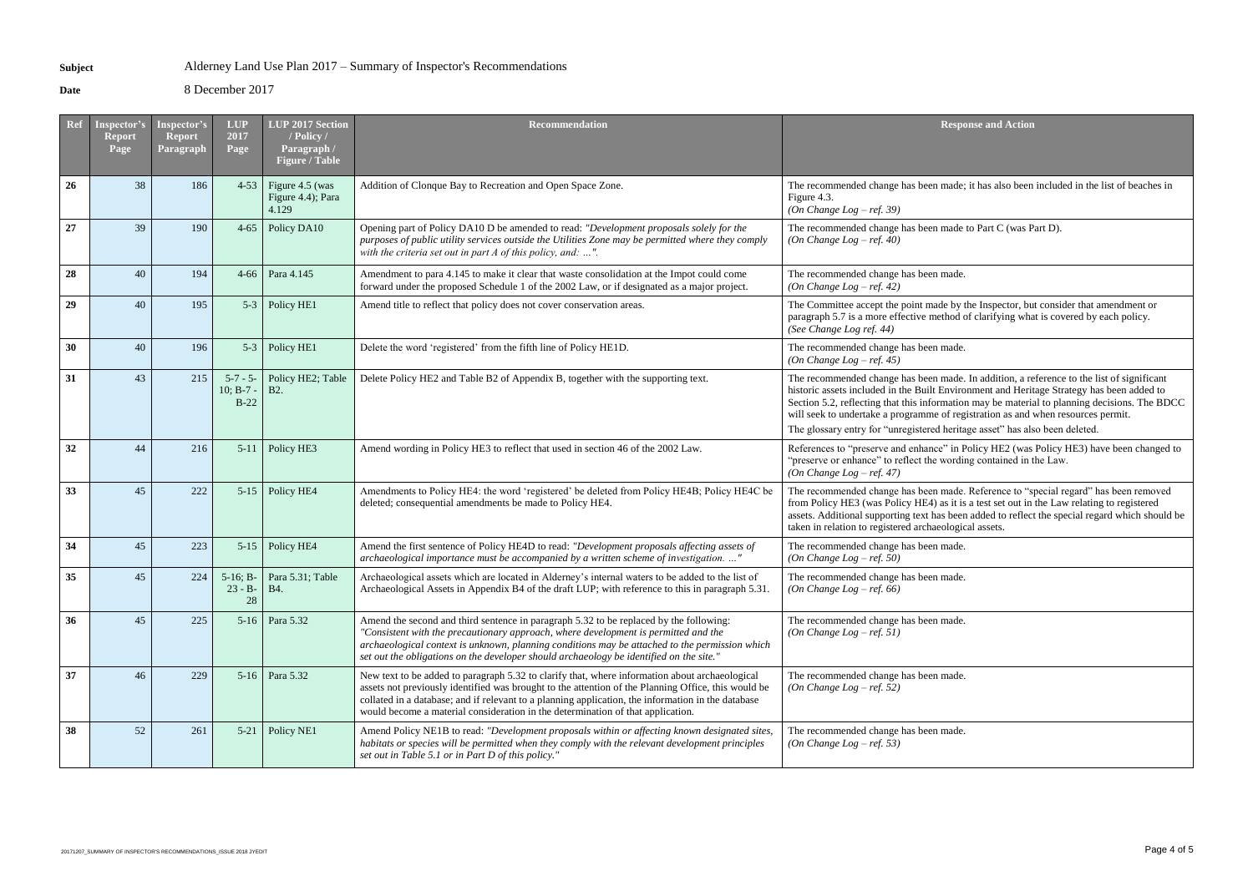**Date** 8 December 2017

| <b>Ref</b> | Inspector's<br><b>Report</b><br>Page | <b>Inspector's</b><br><b>Report</b><br>Paragraph | <b>LUP</b><br>2017<br>Page           | LUP 2017 Section<br>/ Policy /<br>Paragraph /<br><b>Figure / Table</b> | <b>Recommendation</b>                                                                                                                                                                                                                                                                                                                                                                          | <b>Respo</b>                                                                                                                                                                                                                       |
|------------|--------------------------------------|--------------------------------------------------|--------------------------------------|------------------------------------------------------------------------|------------------------------------------------------------------------------------------------------------------------------------------------------------------------------------------------------------------------------------------------------------------------------------------------------------------------------------------------------------------------------------------------|------------------------------------------------------------------------------------------------------------------------------------------------------------------------------------------------------------------------------------|
| 26         | 38                                   | 186                                              | $4 - 53$                             | Figure 4.5 (was<br>Figure 4.4); Para<br>4.129                          | Addition of Clonque Bay to Recreation and Open Space Zone.                                                                                                                                                                                                                                                                                                                                     | The recommended change has been made;<br>Figure 4.3.<br>(On Change Log – ref. 39)                                                                                                                                                  |
| 27         | 39                                   | 190                                              | $4 - 65$                             | Policy DA10                                                            | Opening part of Policy DA10 D be amended to read: "Development proposals solely for the<br>purposes of public utility services outside the Utilities Zone may be permitted where they comply<br>with the criteria set out in part $A$ of this policy, and: ".                                                                                                                                  | The recommended change has been made<br>(On Change Log – ref. 40)                                                                                                                                                                  |
| 28         | 40                                   | 194                                              | $4 - 66$                             | Para 4.145                                                             | Amendment to para 4.145 to make it clear that waste consolidation at the Impot could come<br>forward under the proposed Schedule 1 of the 2002 Law, or if designated as a major project.                                                                                                                                                                                                       | The recommended change has been made.<br>(On Change Log – ref. 42)                                                                                                                                                                 |
| 29         | 40                                   | 195                                              | $5 - 3$                              | Policy HE1                                                             | Amend title to reflect that policy does not cover conservation areas.                                                                                                                                                                                                                                                                                                                          | The Committee accept the point made by t<br>paragraph 5.7 is a more effective method of<br>(See Change Log ref. 44)                                                                                                                |
| 30         | 40                                   | 196                                              | $5 - 3$                              | Policy HE1                                                             | Delete the word 'registered' from the fifth line of Policy HE1D.                                                                                                                                                                                                                                                                                                                               | The recommended change has been made.<br>(On Change Log – ref. 45)                                                                                                                                                                 |
| 31         | 43                                   | 215                                              | $5 - 7 - 5$<br>$10; B-7$ -<br>$B-22$ | Policy HE2; Table<br><b>B2.</b>                                        | Delete Policy HE2 and Table B2 of Appendix B, together with the supporting text.                                                                                                                                                                                                                                                                                                               | The recommended change has been made.<br>historic assets included in the Built Enviro<br>Section 5.2, reflecting that this information<br>will seek to undertake a programme of reg<br>The glossary entry for "unregistered herita |
| 32         | 44                                   | 216                                              | $5 - 11$                             | Policy HE3                                                             | Amend wording in Policy HE3 to reflect that used in section 46 of the 2002 Law.                                                                                                                                                                                                                                                                                                                | References to "preserve and enhance" in F<br>'preserve or enhance" to reflect the wordin<br>(On Change Log – ref. 47)                                                                                                              |
| 33         | 45                                   | 222                                              | $5-15$                               | Policy HE4                                                             | Amendments to Policy HE4: the word 'registered' be deleted from Policy HE4B; Policy HE4C be<br>deleted; consequential amendments be made to Policy HE4.                                                                                                                                                                                                                                        | The recommended change has been made.<br>from Policy HE3 (was Policy HE4) as it is<br>assets. Additional supporting text has been<br>taken in relation to registered archaeologic                                                  |
| 34         | 45                                   | 223                                              | $5 - 15$                             | Policy HE4                                                             | Amend the first sentence of Policy HE4D to read: "Development proposals affecting assets of<br>archaeological importance must be accompanied by a written scheme of investigation. "                                                                                                                                                                                                           | The recommended change has been made.<br>(On Change Log – ref. 50)                                                                                                                                                                 |
| 35         | 45                                   | 224                                              | $5-16; B-$<br>$23 - B -$<br>28       | Para 5.31; Table<br><b>B4.</b>                                         | Archaeological assets which are located in Alderney's internal waters to be added to the list of<br>Archaeological Assets in Appendix B4 of the draft LUP; with reference to this in paragraph 5.31.                                                                                                                                                                                           | The recommended change has been made.<br>(On Change Log – ref. 66)                                                                                                                                                                 |
| 36         | 45                                   | 225                                              | $5-16$                               | Para 5.32                                                              | Amend the second and third sentence in paragraph 5.32 to be replaced by the following:<br>"Consistent with the precautionary approach, where development is permitted and the<br>archaeological context is unknown, planning conditions may be attached to the permission which<br>set out the obligations on the developer should archaeology be identified on the site."                     | The recommended change has been made.<br>(On Change Log – ref. 51)                                                                                                                                                                 |
| 37         | 46                                   | 229                                              | $5-16$                               | Para 5.32                                                              | New text to be added to paragraph 5.32 to clarify that, where information about archaeological<br>assets not previously identified was brought to the attention of the Planning Office, this would be<br>collated in a database; and if relevant to a planning application, the information in the database<br>would become a material consideration in the determination of that application. | The recommended change has been made.<br>(On Change Log – ref. 52)                                                                                                                                                                 |
| 38         | 52                                   | 261                                              | $5 - 21$                             | Policy NE1                                                             | Amend Policy NE1B to read: "Development proposals within or affecting known designated sites,<br>habitats or species will be permitted when they comply with the relevant development principles<br>set out in Table 5.1 or in Part D of this policy."                                                                                                                                         | The recommended change has been made.<br>(On Change Log – ref. 53)                                                                                                                                                                 |

**Response and Action** 

made; it has also been included in the list of beaches in

made to Part C (was Part D).

le by the Inspector, but consider that amendment or thod of clarifying what is covered by each policy.

made. In addition, a reference to the list of significant Environment and Heritage Strategy has been added to mation may be material to planning decisions. The BDCC of registration as and when resources permit. heritage asset" has also been deleted.

<sup>2</sup> in Policy HE2 (was Policy HE3) have been changed to wording contained in the Law.

made. Reference to "special regard" has been removed as it is a test set out in the Law relating to registered s been added to reflect the special regard which should be ological assets.

made.

made.